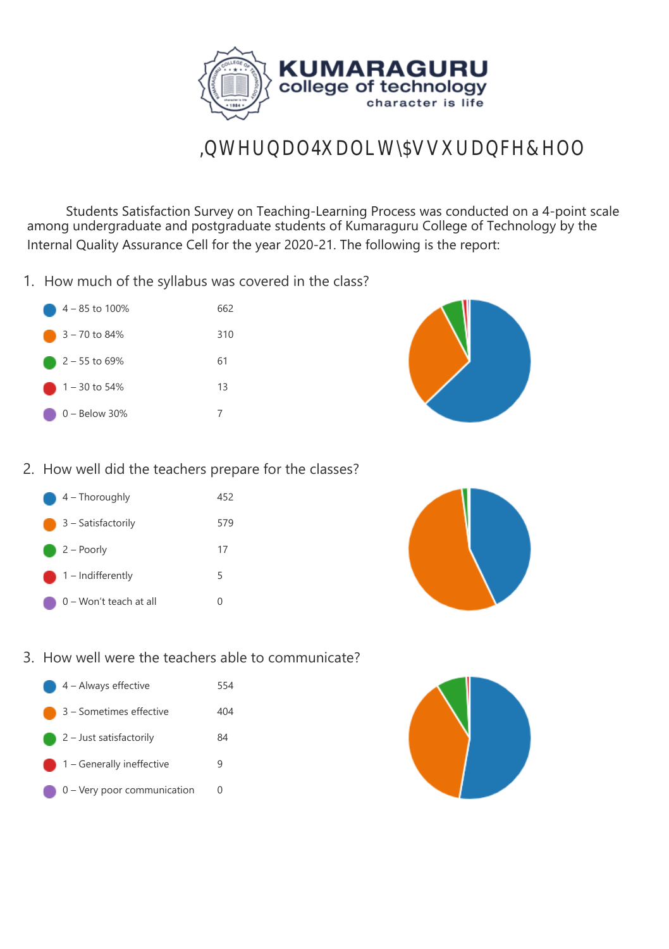

## Student Satisfaction Survey on Teaching-Learning Process (2020-21)

 Students Satisfaction Survey on Teaching-Learning Process was conducted on a 4-point scale among undergraduate and postgraduate students of Kumaraguru College of Technology by the Internal Quality Assurance Cell for the year 2020-21. The following is the report:

1. How much of the syllabus was covered in the class?

| 4 – 85 to 100%           | 662 |
|--------------------------|-----|
| 3 – 70 to 84%            | 310 |
| $2 - 55$ to 69%          | 61  |
| $\bigcirc$ 1 – 30 to 54% | 13  |
| $0 -$ Below 30%          |     |



## 2. How well did the teachers prepare for the classes?

| 4 - Thoroughly               | 452              |
|------------------------------|------------------|
| 3 – Satisfactorily           | 579              |
| $2 -$ Poorly                 | 17               |
| $\bigcirc$ 1 – Indifferently | 5                |
| 0 – Won't teach at all       | $\left( \right)$ |



3. How well were the teachers able to communicate?

| 4 - Always effective | 554 |
|----------------------|-----|
|                      |     |

- 3 Sometimes effective 404
- 2 Just satisfactorily 84
- 1 Generally ineffective 9
- 0 Very poor communication 0

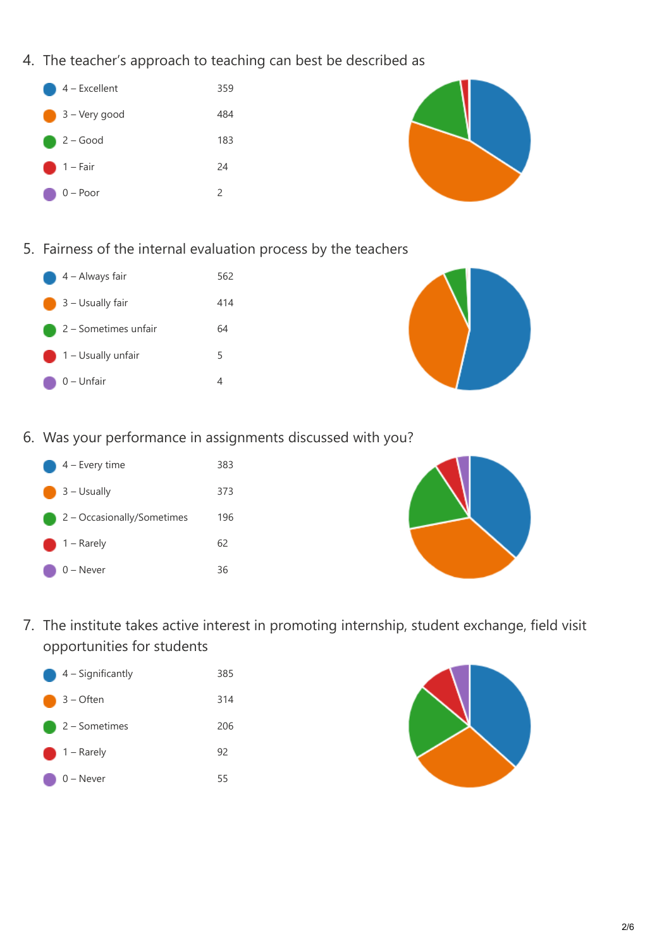- 4. The teacher's approach to teaching can best be described as
	- 4 Excellent 359 3 – Very good 484 2 – Good 183 1 – Fair 24 0 – Poor 2



- 5. Fairness of the internal evaluation process by the teachers
	- $\bullet$  4 Always fair 562 **3** – Usually fair **414 2** – Sometimes unfair 64 1 – Usually unfair 5  $\bigcirc$  0 – Unfair 4



6. Was your performance in assignments discussed with you?





7. The institute takes active interest in promoting internship, student exchange, field visit opportunities for students



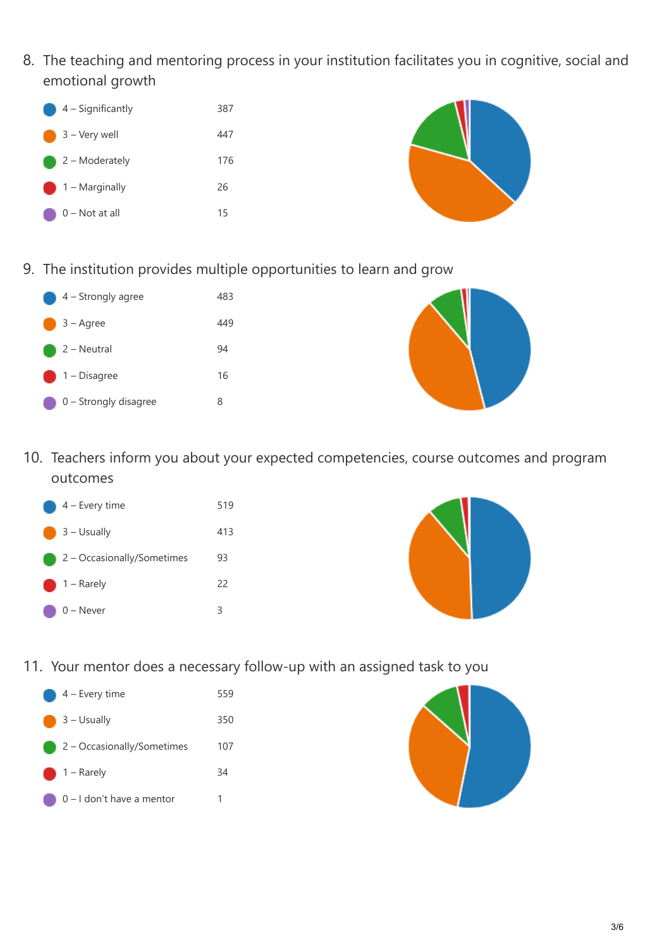8. The teaching and mentoring process in your institution facilitates you in cognitive, social and emotional growth





9. The institution provides multiple opportunities to learn and grow





10. Teachers inform you about your expected competencies, course outcomes and program outcomes





11. Your mentor does a necessary follow-up with an assigned task to you



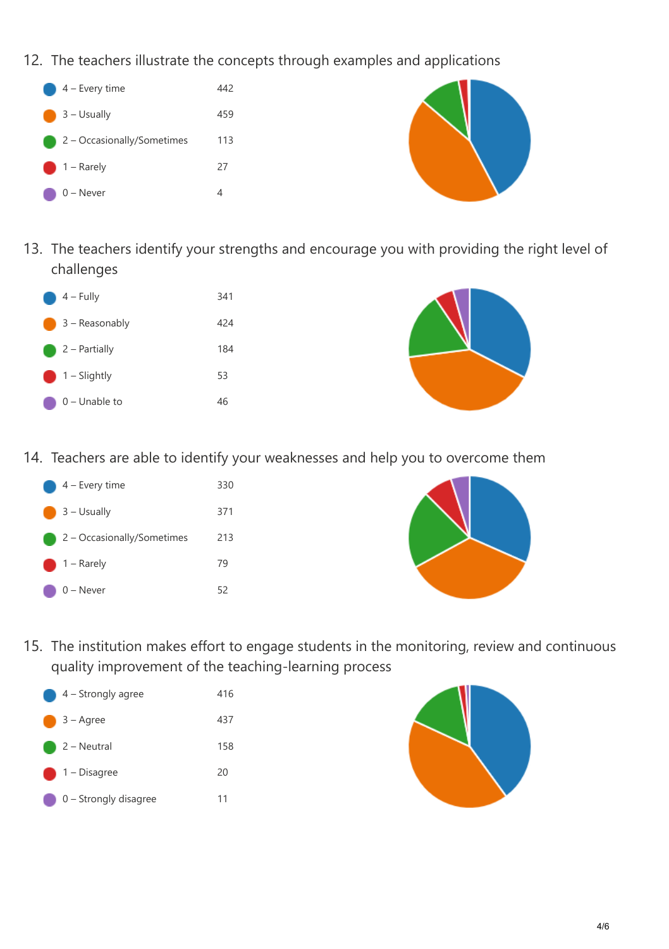- 12. The teachers illustrate the concepts through examples and applications
	- 4 Every time 442 3 – Usually 459 2 – Occasionally/Sometimes 113 1 – Rarely 27  $0 -$ Never 4



13. The teachers identify your strengths and encourage you with providing the right level of challenges

| $4 - Fully$     | 341 |
|-----------------|-----|
| 3 - Reasonably  | 424 |
| $2 - Partially$ | 184 |
| $1 -$ Slightly  | 53  |
| $0$ – Unable to | 46  |



14. Teachers are able to identify your weaknesses and help you to overcome them





15. The institution makes effort to engage students in the monitoring, review and continuous quality improvement of the teaching-learning process



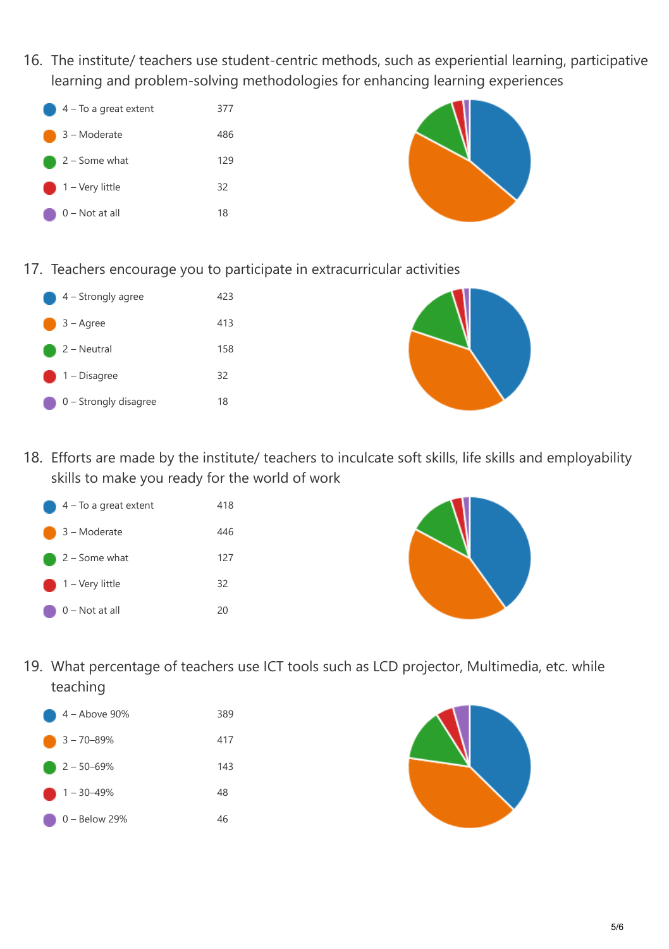16. The institute/ teachers use student-centric methods, such as experiential learning, participative learning and problem-solving methodologies for enhancing learning experiences



17. Teachers encourage you to participate in extracurricular activities

| $4 -$ Strongly agree    | 423 |
|-------------------------|-----|
| 3 – Agree               | 413 |
| 2 – Neutral             | 158 |
| $\bigcirc$ 1 – Disagree | 32  |
| $0 -$ Strongly disagree | 18  |



18. Efforts are made by the institute/ teachers to inculcate soft skills, life skills and employability skills to make you ready for the world of work





19. What percentage of teachers use ICT tools such as LCD projector, Multimedia, etc. while teaching